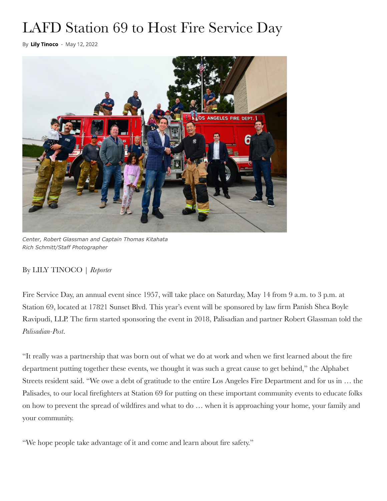## LAFD Station 69 to Host Fire Service Day

By [Lily Tinoco](https://www.palipost.com/author/lily/) - May 12, 2022



*Center, Robert Glassman and Captain Thomas Kitahata Rich Schmitt/Staff Photographer*

## By LILY TINOCO | *Reporter*

Fire Service Day, an annual event since 1957, will take place on Saturday, May 14 from 9 a.m. to 3 p.m. at Station 69, located at 17821 Sunset Blvd. This year's event will be sponsored by law firm Panish Shea Boyle Ravipudi, LLP. The firm started sponsoring the event in 2018, Palisadian and partner Robert Glassman told the *Palisadian-Post*.

"It really was a partnership that was born out of what we do at work and when we first learned about the fire department putting together these events, we thought it was such a great cause to get behind," the Alphabet Streets resident said. "We owe a debt of gratitude to the entire Los Angeles Fire Department and for us in … the Palisades, to our local firefighters at Station 69 for putting on these important community events to educate folks on how to prevent the spread of wildfires and what to do … when it is approaching your home, your family and your community.

"We hope people take advantage of it and come and learn about fire safety."